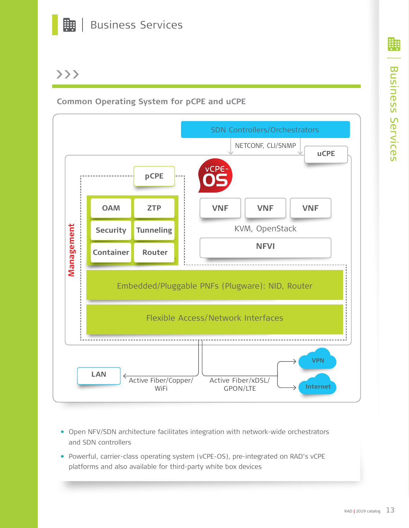

# >>>

**Common Operating System for pCPE and uCPE**



- **•** Open NFV/SDN architecture facilitates integration with network-wide orchestrators and SDN controllers
- **•** Powerful, carrier-class operating system (vCPE-OS), pre-integrated on RAD's vCPE platforms and also available for third-party white box devices

₩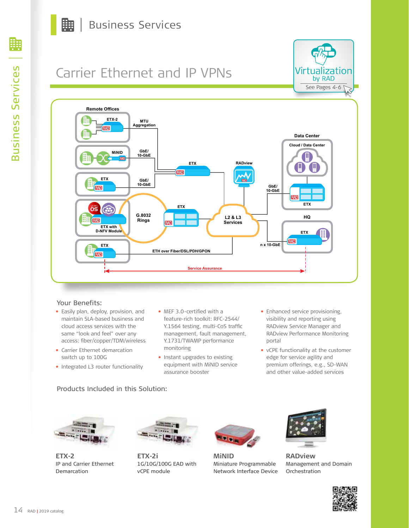

# Carrier Ethernet and IP VPNs





### Your Benefits:

- **•** Easily plan, deploy, provision, and maintain SLA-based business and cloud access services with the same "look and feel" over any access: fiber/copper/TDM/wireless
- **•** Carrier Ethernet demarcation switch up to 100G
- **•** Integrated L3 router functionality
- **•** MEF 3.0-certified with a feature-rich toolkit: RFC-2544/ Y.1564 testing, multi-CoS traffic management, fault management, Y.1731/TWAMP performance monitoring
- **•** Instant upgrades to existing equipment with MiNID service assurance booster
- **•** Enhanced service provisioning, visibility and reporting using RADview Service Manager and RADview Performance Monitoring portal
- **•** vCPE functionality at the customer edge for service agility and premium offerings, e.g., SD-WAN and other value-added services

## Products Included in this Solution:



**ETX-2** IP and Carrier Ethernet Demarcation



**ETX-2i** 1G/10G/100G EAD with vCPE module



**MiNID** Miniature Programmable Network Interface Device



**RADview** Management and Domain **Orchestration**